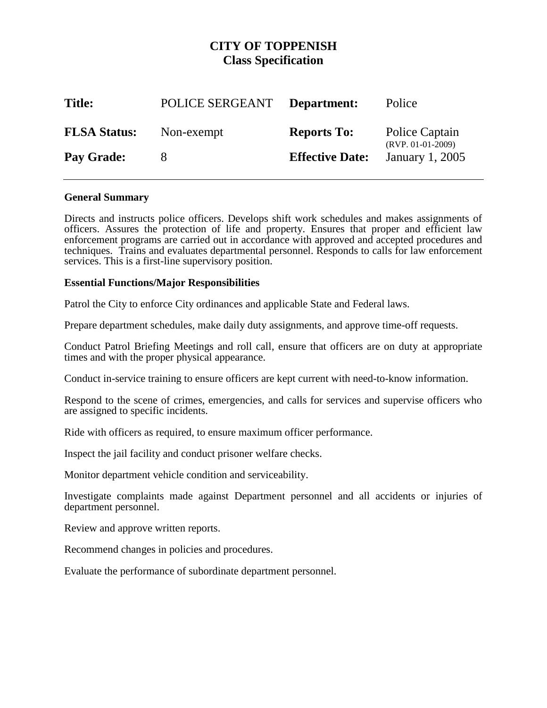# **CITY OF TOPPENISH Class Specification**

| <b>Title:</b>       | POLICE SERGEANT | Department:            | Police                                |
|---------------------|-----------------|------------------------|---------------------------------------|
| <b>FLSA Status:</b> | Non-exempt      | <b>Reports To:</b>     | Police Captain<br>$(RVP. 01-01-2009)$ |
| Pay Grade:          |                 | <b>Effective Date:</b> | January 1, 2005                       |

## **General Summary**

Directs and instructs police officers. Develops shift work schedules and makes assignments of officers. Assures the protection of life and property. Ensures that proper and efficient law enforcement programs are carried out in accordance with approved and accepted procedures and techniques. Trains and evaluates departmental personnel. Responds to calls for law enforcement services. This is a first-line supervisory position.

## **Essential Functions/Major Responsibilities**

Patrol the City to enforce City ordinances and applicable State and Federal laws.

Prepare department schedules, make daily duty assignments, and approve time-off requests.

Conduct Patrol Briefing Meetings and roll call, ensure that officers are on duty at appropriate times and with the proper physical appearance.

Conduct in-service training to ensure officers are kept current with need-to-know information.

Respond to the scene of crimes, emergencies, and calls for services and supervise officers who are assigned to specific incidents.

Ride with officers as required, to ensure maximum officer performance.

Inspect the jail facility and conduct prisoner welfare checks.

Monitor department vehicle condition and serviceability.

Investigate complaints made against Department personnel and all accidents or injuries of department personnel.

Review and approve written reports.

Recommend changes in policies and procedures.

Evaluate the performance of subordinate department personnel.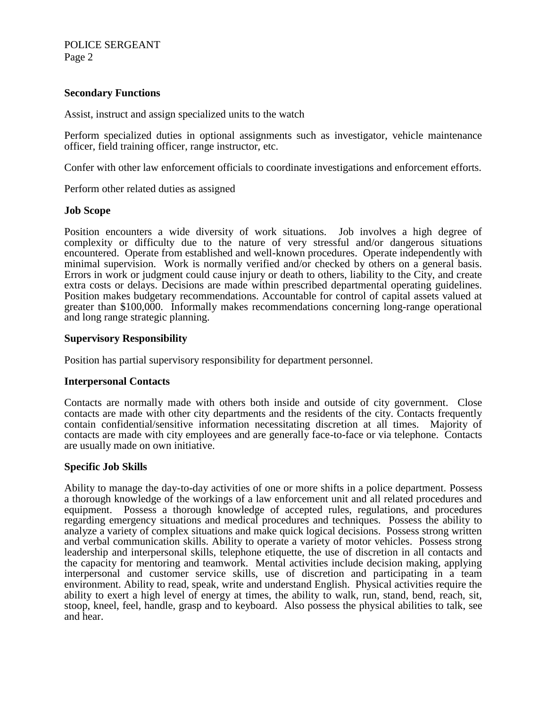# POLICE SERGEANT Page 2

# **Secondary Functions**

Assist, instruct and assign specialized units to the watch

Perform specialized duties in optional assignments such as investigator, vehicle maintenance officer, field training officer, range instructor, etc.

Confer with other law enforcement officials to coordinate investigations and enforcement efforts.

Perform other related duties as assigned

#### **Job Scope**

Position encounters a wide diversity of work situations. Job involves a high degree of complexity or difficulty due to the nature of very stressful and/or dangerous situations encountered. Operate from established and well-known procedures. Operate independently with minimal supervision. Work is normally verified and/or checked by others on a general basis. Errors in work or judgment could cause injury or death to others, liability to the City, and create extra costs or delays. Decisions are made within prescribed departmental operating guidelines. Position makes budgetary recommendations. Accountable for control of capital assets valued at greater than \$100,000. Informally makes recommendations concerning long-range operational and long range strategic planning.

### **Supervisory Responsibility**

Position has partial supervisory responsibility for department personnel.

#### **Interpersonal Contacts**

Contacts are normally made with others both inside and outside of city government. Close contacts are made with other city departments and the residents of the city. Contacts frequently contain confidential/sensitive information necessitating discretion at all times. Majority of contacts are made with city employees and are generally face-to-face or via telephone. Contacts are usually made on own initiative.

### **Specific Job Skills**

Ability to manage the day-to-day activities of one or more shifts in a police department. Possess a thorough knowledge of the workings of a law enforcement unit and all related procedures and equipment. Possess a thorough knowledge of accepted rules, regulations, and procedures regarding emergency situations and medical procedures and techniques. Possess the ability to analyze a variety of complex situations and make quick logical decisions. Possess strong written and verbal communication skills. Ability to operate a variety of motor vehicles. Possess strong leadership and interpersonal skills, telephone etiquette, the use of discretion in all contacts and the capacity for mentoring and teamwork. Mental activities include decision making, applying interpersonal and customer service skills, use of discretion and participating in a team environment. Ability to read, speak, write and understand English. Physical activities require the ability to exert a high level of energy at times, the ability to walk, run, stand, bend, reach, sit, stoop, kneel, feel, handle, grasp and to keyboard. Also possess the physical abilities to talk, see and hear.